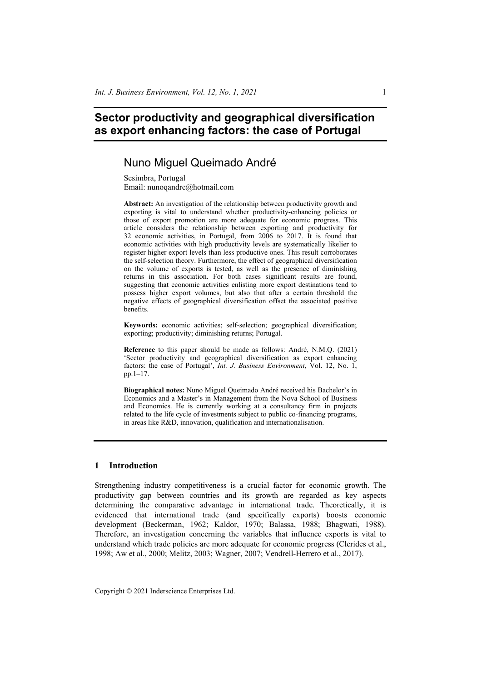# **Sector productivity and geographical diversification as export enhancing factors: the case of Portugal**

# Nuno Miguel Queimado André

Sesimbra, Portugal Email: nunoqandre@hotmail.com

**Abstract:** An investigation of the relationship between productivity growth and exporting is vital to understand whether productivity-enhancing policies or those of export promotion are more adequate for economic progress. This article considers the relationship between exporting and productivity for 32 economic activities, in Portugal, from 2006 to 2017. It is found that economic activities with high productivity levels are systematically likelier to register higher export levels than less productive ones. This result corroborates the self-selection theory. Furthermore, the effect of geographical diversification on the volume of exports is tested, as well as the presence of diminishing returns in this association. For both cases significant results are found, suggesting that economic activities enlisting more export destinations tend to possess higher export volumes, but also that after a certain threshold the negative effects of geographical diversification offset the associated positive benefits.

**Keywords:** economic activities; self-selection; geographical diversification; exporting; productivity; diminishing returns; Portugal.

**Reference** to this paper should be made as follows: André, N.M.Q. (2021) 'Sector productivity and geographical diversification as export enhancing factors: the case of Portugal', *Int. J. Business Environment*, Vol. 12, No. 1, pp.1–17.

**Biographical notes:** Nuno Miguel Queimado André received his Bachelor's in Economics and a Master's in Management from the Nova School of Business and Economics. He is currently working at a consultancy firm in projects related to the life cycle of investments subject to public co-financing programs, in areas like R&D, innovation, qualification and internationalisation.

# **1 Introduction**

Strengthening industry competitiveness is a crucial factor for economic growth. The productivity gap between countries and its growth are regarded as key aspects determining the comparative advantage in international trade. Theoretically, it is evidenced that international trade (and specifically exports) boosts economic development (Beckerman, 1962; Kaldor, 1970; Balassa, 1988; Bhagwati, 1988). Therefore, an investigation concerning the variables that influence exports is vital to understand which trade policies are more adequate for economic progress (Clerides et al., 1998; Aw et al., 2000; Melitz, 2003; Wagner, 2007; Vendrell-Herrero et al., 2017).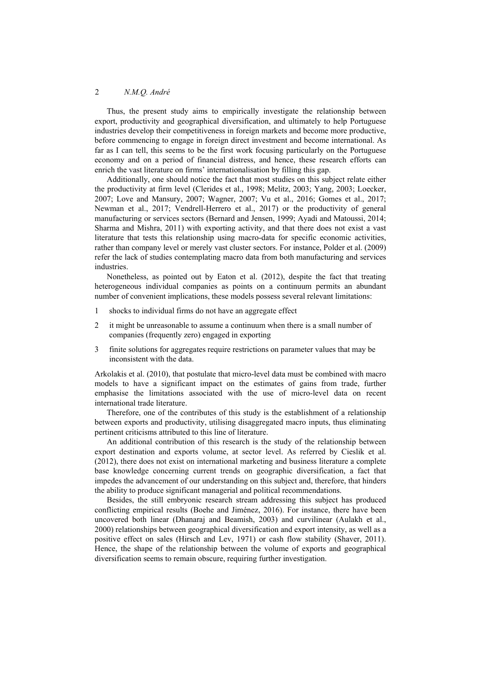Thus, the present study aims to empirically investigate the relationship between export, productivity and geographical diversification, and ultimately to help Portuguese industries develop their competitiveness in foreign markets and become more productive, before commencing to engage in foreign direct investment and become international. As far as I can tell, this seems to be the first work focusing particularly on the Portuguese economy and on a period of financial distress, and hence, these research efforts can enrich the vast literature on firms' internationalisation by filling this gap.

Additionally, one should notice the fact that most studies on this subject relate either the productivity at firm level (Clerides et al., 1998; Melitz, 2003; Yang, 2003; Loecker, 2007; Love and Mansury, 2007; Wagner, 2007; Vu et al., 2016; Gomes et al., 2017; Newman et al., 2017; Vendrell-Herrero et al., 2017) or the productivity of general manufacturing or services sectors (Bernard and Jensen, 1999; Ayadi and Matoussi, 2014; Sharma and Mishra, 2011) with exporting activity, and that there does not exist a vast literature that tests this relationship using macro-data for specific economic activities, rather than company level or merely vast cluster sectors. For instance, Polder et al. (2009) refer the lack of studies contemplating macro data from both manufacturing and services industries.

Nonetheless, as pointed out by Eaton et al. (2012), despite the fact that treating heterogeneous individual companies as points on a continuum permits an abundant number of convenient implications, these models possess several relevant limitations:

- 1 shocks to individual firms do not have an aggregate effect
- 2 it might be unreasonable to assume a continuum when there is a small number of companies (frequently zero) engaged in exporting
- 3 finite solutions for aggregates require restrictions on parameter values that may be inconsistent with the data.

Arkolakis et al. (2010), that postulate that micro-level data must be combined with macro models to have a significant impact on the estimates of gains from trade, further emphasise the limitations associated with the use of micro-level data on recent international trade literature.

Therefore, one of the contributes of this study is the establishment of a relationship between exports and productivity, utilising disaggregated macro inputs, thus eliminating pertinent criticisms attributed to this line of literature.

An additional contribution of this research is the study of the relationship between export destination and exports volume, at sector level. As referred by Cieslik et al. (2012), there does not exist on international marketing and business literature a complete base knowledge concerning current trends on geographic diversification, a fact that impedes the advancement of our understanding on this subject and, therefore, that hinders the ability to produce significant managerial and political recommendations.

Besides, the still embryonic research stream addressing this subject has produced conflicting empirical results (Boehe and Jiménez, 2016). For instance, there have been uncovered both linear (Dhanaraj and Beamish, 2003) and curvilinear (Aulakh et al., 2000) relationships between geographical diversification and export intensity, as well as a positive effect on sales (Hirsch and Lev, 1971) or cash flow stability (Shaver, 2011). Hence, the shape of the relationship between the volume of exports and geographical diversification seems to remain obscure, requiring further investigation.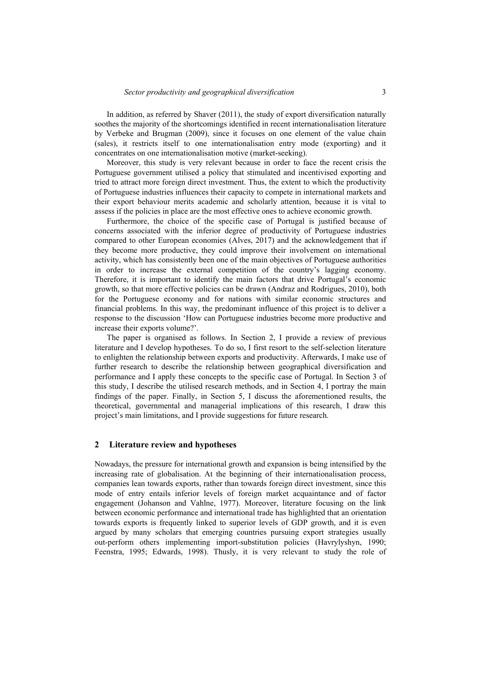In addition, as referred by Shaver (2011), the study of export diversification naturally soothes the majority of the shortcomings identified in recent internationalisation literature by Verbeke and Brugman (2009), since it focuses on one element of the value chain (sales), it restricts itself to one internationalisation entry mode (exporting) and it concentrates on one internationalisation motive (market-seeking).

Moreover, this study is very relevant because in order to face the recent crisis the Portuguese government utilised a policy that stimulated and incentivised exporting and tried to attract more foreign direct investment. Thus, the extent to which the productivity of Portuguese industries influences their capacity to compete in international markets and their export behaviour merits academic and scholarly attention, because it is vital to assess if the policies in place are the most effective ones to achieve economic growth.

Furthermore, the choice of the specific case of Portugal is justified because of concerns associated with the inferior degree of productivity of Portuguese industries compared to other European economies (Alves, 2017) and the acknowledgement that if they become more productive, they could improve their involvement on international activity, which has consistently been one of the main objectives of Portuguese authorities in order to increase the external competition of the country's lagging economy. Therefore, it is important to identify the main factors that drive Portugal's economic growth, so that more effective policies can be drawn (Andraz and Rodrigues, 2010), both for the Portuguese economy and for nations with similar economic structures and financial problems. In this way, the predominant influence of this project is to deliver a response to the discussion 'How can Portuguese industries become more productive and increase their exports volume?'.

The paper is organised as follows. In Section 2, I provide a review of previous literature and I develop hypotheses. To do so, I first resort to the self-selection literature to enlighten the relationship between exports and productivity. Afterwards, I make use of further research to describe the relationship between geographical diversification and performance and I apply these concepts to the specific case of Portugal. In Section 3 of this study, I describe the utilised research methods, and in Section 4, I portray the main findings of the paper. Finally, in Section 5, I discuss the aforementioned results, the theoretical, governmental and managerial implications of this research, I draw this project's main limitations, and I provide suggestions for future research.

### **2 Literature review and hypotheses**

Nowadays, the pressure for international growth and expansion is being intensified by the increasing rate of globalisation. At the beginning of their internationalisation process, companies lean towards exports, rather than towards foreign direct investment, since this mode of entry entails inferior levels of foreign market acquaintance and of factor engagement (Johanson and Vahlne, 1977). Moreover, literature focusing on the link between economic performance and international trade has highlighted that an orientation towards exports is frequently linked to superior levels of GDP growth, and it is even argued by many scholars that emerging countries pursuing export strategies usually out-perform others implementing import-substitution policies (Havrylyshyn, 1990; Feenstra, 1995; Edwards, 1998). Thusly, it is very relevant to study the role of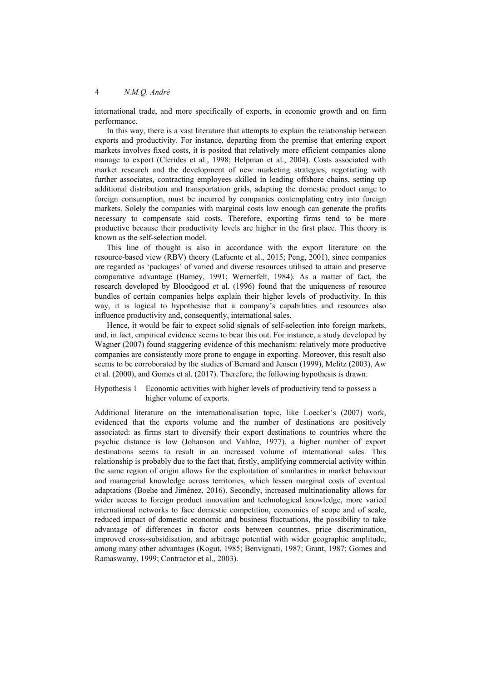international trade, and more specifically of exports, in economic growth and on firm performance.

In this way, there is a vast literature that attempts to explain the relationship between exports and productivity. For instance, departing from the premise that entering export markets involves fixed costs, it is posited that relatively more efficient companies alone manage to export (Clerides et al., 1998; Helpman et al., 2004). Costs associated with market research and the development of new marketing strategies, negotiating with further associates, contracting employees skilled in leading offshore chains, setting up additional distribution and transportation grids, adapting the domestic product range to foreign consumption, must be incurred by companies contemplating entry into foreign markets. Solely the companies with marginal costs low enough can generate the profits necessary to compensate said costs. Therefore, exporting firms tend to be more productive because their productivity levels are higher in the first place. This theory is known as the self-selection model.

This line of thought is also in accordance with the export literature on the resource-based view (RBV) theory (Lafuente et al., 2015; Peng, 2001), since companies are regarded as 'packages' of varied and diverse resources utilised to attain and preserve comparative advantage (Barney, 1991; Wernerfelt, 1984). As a matter of fact, the research developed by Bloodgood et al. (1996) found that the uniqueness of resource bundles of certain companies helps explain their higher levels of productivity. In this way, it is logical to hypothesise that a company's capabilities and resources also influence productivity and, consequently, international sales.

Hence, it would be fair to expect solid signals of self-selection into foreign markets, and, in fact, empirical evidence seems to bear this out. For instance, a study developed by Wagner (2007) found staggering evidence of this mechanism: relatively more productive companies are consistently more prone to engage in exporting. Moreover, this result also seems to be corroborated by the studies of Bernard and Jensen (1999), Melitz (2003), Aw et al. (2000), and Gomes et al. (2017). Therefore, the following hypothesis is drawn:

Hypothesis 1 Economic activities with higher levels of productivity tend to possess a higher volume of exports.

Additional literature on the internationalisation topic, like Loecker's (2007) work, evidenced that the exports volume and the number of destinations are positively associated: as firms start to diversify their export destinations to countries where the psychic distance is low (Johanson and Vahlne, 1977), a higher number of export destinations seems to result in an increased volume of international sales. This relationship is probably due to the fact that, firstly, amplifying commercial activity within the same region of origin allows for the exploitation of similarities in market behaviour and managerial knowledge across territories, which lessen marginal costs of eventual adaptations (Boehe and Jiménez, 2016). Secondly, increased multinationality allows for wider access to foreign product innovation and technological knowledge, more varied international networks to face domestic competition, economies of scope and of scale, reduced impact of domestic economic and business fluctuations, the possibility to take advantage of differences in factor costs between countries, price discrimination, improved cross-subsidisation, and arbitrage potential with wider geographic amplitude, among many other advantages (Kogut, 1985; Benvignati, 1987; Grant, 1987; Gomes and Ramaswamy, 1999; Contractor et al., 2003).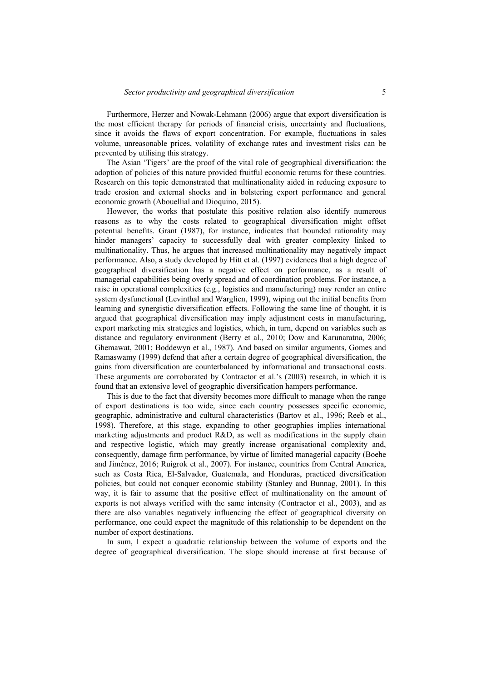Furthermore, Herzer and Nowak-Lehmann (2006) argue that export diversification is the most efficient therapy for periods of financial crisis, uncertainty and fluctuations, since it avoids the flaws of export concentration. For example, fluctuations in sales volume, unreasonable prices, volatility of exchange rates and investment risks can be prevented by utilising this strategy.

The Asian 'Tigers' are the proof of the vital role of geographical diversification: the adoption of policies of this nature provided fruitful economic returns for these countries. Research on this topic demonstrated that multinationality aided in reducing exposure to trade erosion and external shocks and in bolstering export performance and general economic growth (Abouellial and Dioquino, 2015).

However, the works that postulate this positive relation also identify numerous reasons as to why the costs related to geographical diversification might offset potential benefits. Grant (1987), for instance, indicates that bounded rationality may hinder managers' capacity to successfully deal with greater complexity linked to multinationality. Thus, he argues that increased multinationality may negatively impact performance. Also, a study developed by Hitt et al. (1997) evidences that a high degree of geographical diversification has a negative effect on performance, as a result of managerial capabilities being overly spread and of coordination problems. For instance, a raise in operational complexities (e.g., logistics and manufacturing) may render an entire system dysfunctional (Levinthal and Warglien, 1999), wiping out the initial benefits from learning and synergistic diversification effects. Following the same line of thought, it is argued that geographical diversification may imply adjustment costs in manufacturing, export marketing mix strategies and logistics, which, in turn, depend on variables such as distance and regulatory environment (Berry et al., 2010; Dow and Karunaratna, 2006; Ghemawat, 2001; Boddewyn et al., 1987). And based on similar arguments, Gomes and Ramaswamy (1999) defend that after a certain degree of geographical diversification, the gains from diversification are counterbalanced by informational and transactional costs. These arguments are corroborated by Contractor et al.'s (2003) research, in which it is found that an extensive level of geographic diversification hampers performance.

This is due to the fact that diversity becomes more difficult to manage when the range of export destinations is too wide, since each country possesses specific economic, geographic, administrative and cultural characteristics (Bartov et al., 1996; Reeb et al., 1998). Therefore, at this stage, expanding to other geographies implies international marketing adjustments and product R&D, as well as modifications in the supply chain and respective logistic, which may greatly increase organisational complexity and, consequently, damage firm performance, by virtue of limited managerial capacity (Boehe and Jiménez, 2016; Ruigrok et al., 2007). For instance, countries from Central America, such as Costa Rica, El-Salvador, Guatemala, and Honduras, practiced diversification policies, but could not conquer economic stability (Stanley and Bunnag, 2001). In this way, it is fair to assume that the positive effect of multinationality on the amount of exports is not always verified with the same intensity (Contractor et al., 2003), and as there are also variables negatively influencing the effect of geographical diversity on performance, one could expect the magnitude of this relationship to be dependent on the number of export destinations.

In sum, I expect a quadratic relationship between the volume of exports and the degree of geographical diversification. The slope should increase at first because of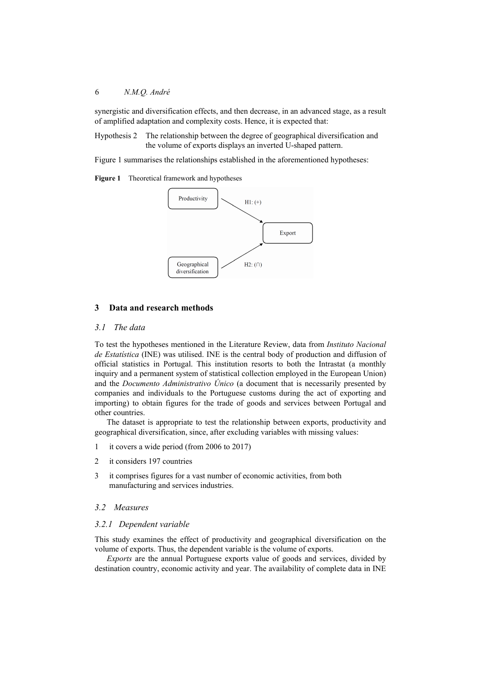synergistic and diversification effects, and then decrease, in an advanced stage, as a result of amplified adaptation and complexity costs. Hence, it is expected that:

Hypothesis 2 The relationship between the degree of geographical diversification and the volume of exports displays an inverted U-shaped pattern.

Figure 1 summarises the relationships established in the aforementioned hypotheses:

**Figure 1** Theoretical framework and hypotheses



# **3 Data and research methods**

## *3.1 The data*

To test the hypotheses mentioned in the Literature Review, data from *Instituto Nacional de Estatística* (INE) was utilised. INE is the central body of production and diffusion of official statistics in Portugal. This institution resorts to both the Intrastat (a monthly inquiry and a permanent system of statistical collection employed in the European Union) and the *Documento Administrativo Único* (a document that is necessarily presented by companies and individuals to the Portuguese customs during the act of exporting and importing) to obtain figures for the trade of goods and services between Portugal and other countries.

The dataset is appropriate to test the relationship between exports, productivity and geographical diversification, since, after excluding variables with missing values:

- 1 it covers a wide period (from 2006 to 2017)
- 2 it considers 197 countries
- 3 it comprises figures for a vast number of economic activities, from both manufacturing and services industries.

# *3.2 Measures*

# *3.2.1 Dependent variable*

This study examines the effect of productivity and geographical diversification on the volume of exports. Thus, the dependent variable is the volume of exports.

*Exports* are the annual Portuguese exports value of goods and services, divided by destination country, economic activity and year. The availability of complete data in INE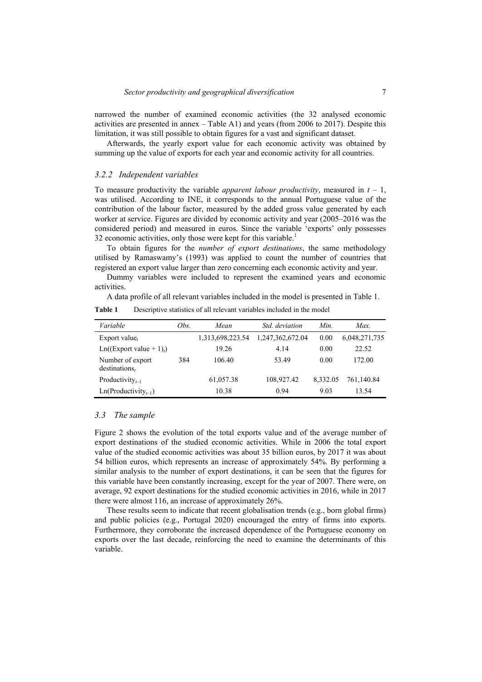narrowed the number of examined economic activities (the 32 analysed economic activities are presented in annex – Table A1) and years (from 2006 to 2017). Despite this limitation, it was still possible to obtain figures for a vast and significant dataset.

Afterwards, the yearly export value for each economic activity was obtained by summing up the value of exports for each year and economic activity for all countries.

#### *3.2.2 Independent variables*

To measure productivity the variable *apparent labour productivity*, measured in  $t - 1$ , was utilised. According to INE, it corresponds to the annual Portuguese value of the contribution of the labour factor, measured by the added gross value generated by each worker at service. Figures are divided by economic activity and year (2005–2016 was the considered period) and measured in euros. Since the variable 'exports' only possesses 32 economic activities, only those were kept for this variable.<sup>1</sup>

To obtain figures for the *number of export destinations*, the same methodology utilised by Ramaswamy's (1993) was applied to count the number of countries that registered an export value larger than zero concerning each economic activity and year.

Dummy variables were included to represent the examined years and economic activities.

A data profile of all relevant variables included in the model is presented in Table 1.

| Variable                                 | Obs. | Mean             | Std. deviation   | Min.     | Max.          |
|------------------------------------------|------|------------------|------------------|----------|---------------|
| Export value,                            |      | 1,313,698,223.54 | 1,247,362,672.04 | 0.00     | 6,048,271,735 |
| $Ln((Export value + 1)$                  |      | 19.26            | 4.14             | 0.00     | 22.52         |
| Number of export<br>destinations,        | 384  | 106.40           | 53.49            | 0.00     | 172.00        |
| Productivity <sub><math>t-1</math></sub> |      | 61,057.38        | 108,927.42       | 8.332.05 | 761,140.84    |
| $Ln(Productivity_{t-1})$                 |      | 10.38            | 0.94             | 9.03     | 13.54         |

**Table 1** Descriptive statistics of all relevant variables included in the model

#### *3.3 The sample*

Figure 2 shows the evolution of the total exports value and of the average number of export destinations of the studied economic activities. While in 2006 the total export value of the studied economic activities was about 35 billion euros, by 2017 it was about 54 billion euros, which represents an increase of approximately 54%. By performing a similar analysis to the number of export destinations, it can be seen that the figures for this variable have been constantly increasing, except for the year of 2007. There were, on average, 92 export destinations for the studied economic activities in 2016, while in 2017 there were almost 116, an increase of approximately 26%.

These results seem to indicate that recent globalisation trends (e.g., born global firms) and public policies (e.g., Portugal 2020) encouraged the entry of firms into exports. Furthermore, they corroborate the increased dependence of the Portuguese economy on exports over the last decade, reinforcing the need to examine the determinants of this variable.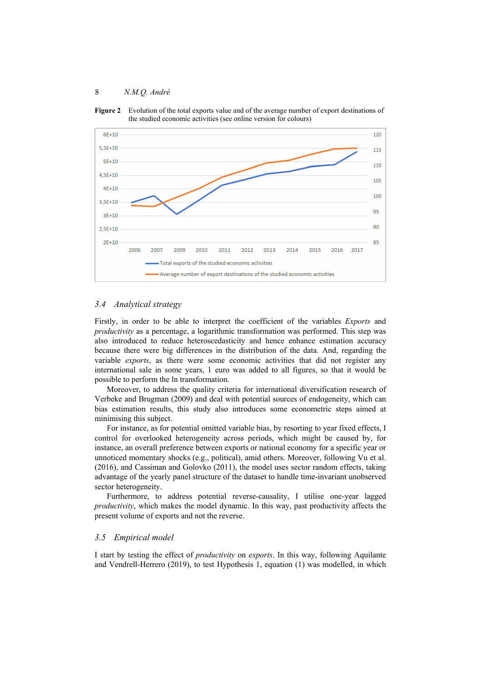**Figure 2** Evolution of the total exports value and of the average number of export destinations of the studied economic activities (see online version for colours)



#### *3.4 Analytical strategy*

Firstly, in order to be able to interpret the coefficient of the variables *Exports* and *productivity* as a percentage, a logarithmic transformation was performed. This step was also introduced to reduce heteroscedasticity and hence enhance estimation accuracy because there were big differences in the distribution of the data. And, regarding the variable *exports*, as there were some economic activities that did not register any international sale in some years, 1 euro was added to all figures, so that it would be possible to perform the ln transformation.

Moreover, to address the quality criteria for international diversification research of Verbeke and Brugman (2009) and deal with potential sources of endogeneity, which can bias estimation results, this study also introduces some econometric steps aimed at minimising this subject.

For instance, as for potential omitted variable bias, by resorting to year fixed effects, I control for overlooked heterogeneity across periods, which might be caused by, for instance, an overall preference between exports or national economy for a specific year or unnoticed momentary shocks (e.g., political), amid others. Moreover, following Vu et al. (2016), and Cassiman and Golovko (2011), the model uses sector random effects, taking advantage of the yearly panel structure of the dataset to handle time-invariant unobserved sector heterogeneity.

Furthermore, to address potential reverse-causality, I utilise one-year lagged *productivity*, which makes the model dynamic. In this way, past productivity affects the present volume of exports and not the reverse.

## *3.5 Empirical model*

I start by testing the effect of *productivity* on *exports*. In this way, following Aquilante and Vendrell-Herrero (2019), to test Hypothesis 1, equation (1) was modelled, in which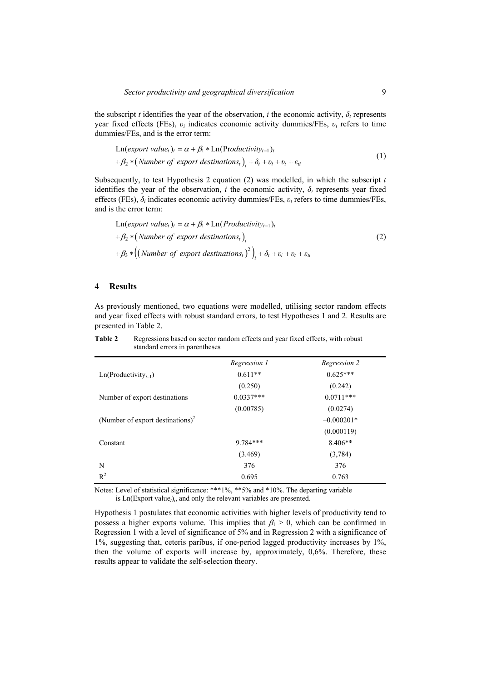the subscript *t* identifies the year of the observation, *i* the economic activity,  $\delta$ *r* represents year fixed effects (FEs), *υi* indicates economic activity dummies/FEs, *υt* refers to time dummies/FEs, and is the error term:

$$
\begin{aligned} \text{Ln}(export\ value_i)_i &= \alpha + \beta_1 * \text{Ln}(\text{Productivity}_{t-1})_i \\ &+ \beta_2 * (\text{Number of export destinations}_{t})_i + \delta_t + v_i + v_t + \varepsilon_{ti} \end{aligned} \tag{1}
$$

Subsequently, to test Hypothesis 2 equation (2) was modelled, in which the subscript *t* identifies the year of the observation, *i* the economic activity,  $\delta$ , represents year fixed effects (FEs), *δi* indicates economic activity dummies/FEs, *υt* refers to time dummies/FEs, and is the error term:

$$
\begin{aligned} \text{Ln}(export value_i)_i &= \alpha + \beta_1 * \text{Ln}(Productivity_{t-1})_i \\ &+ \beta_2 * \left(\text{Number of export destinations}_t\right)_i \\ &+ \beta_3 * \left(\left(\text{Number of export destinations}_t\right)^2\right)_i + \delta_t + v_i + v_t + \varepsilon_{ti} \end{aligned} \tag{2}
$$

## **4 Results**

As previously mentioned, two equations were modelled, utilising sector random effects and year fixed effects with robust standard errors, to test Hypotheses 1 and 2. Results are presented in Table 2.

|                                              | Regression 1 | Regression 2 |
|----------------------------------------------|--------------|--------------|
| $Ln(Productivity_{t-1})$                     | $0.611**$    | $0.625***$   |
|                                              | (0.250)      | (0.242)      |
| Number of export destinations                | $0.0337***$  | $0.0711***$  |
|                                              | (0.00785)    | (0.0274)     |
| (Number of export destinations) <sup>2</sup> |              | $-0.000201*$ |
|                                              |              | (0.000119)   |
| Constant                                     | 9.784***     | $8.406**$    |
|                                              | (3.469)      | (3,784)      |
| N                                            | 376          | 376          |
| $R^2$                                        | 0.695        | 0.763        |

**Table 2** Regressions based on sector random effects and year fixed effects, with robust standard errors in parentheses

Notes: Level of statistical significance: \*\*\*1%, \*\*5% and \*10%. The departing variable is  $Ln(Expert value<sub>t</sub>)<sub>i</sub>$ , and only the relevant variables are presented.

Hypothesis 1 postulates that economic activities with higher levels of productivity tend to possess a higher exports volume. This implies that  $\beta_1 > 0$ , which can be confirmed in Regression 1 with a level of significance of 5% and in Regression 2 with a significance of 1%, suggesting that, ceteris paribus, if one-period lagged productivity increases by 1%, then the volume of exports will increase by, approximately, 0,6%. Therefore, these results appear to validate the self-selection theory.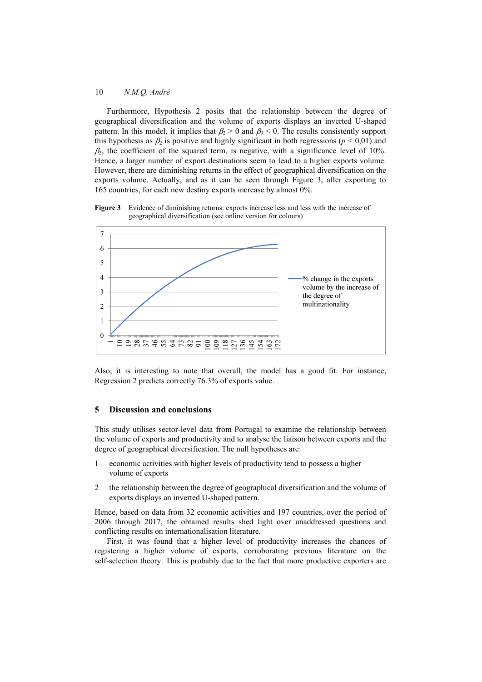Furthermore, Hypothesis 2 posits that the relationship between the degree of geographical diversification and the volume of exports displays an inverted U-shaped pattern. In this model, it implies that  $\beta_2 > 0$  and  $\beta_3 < 0$ . The results consistently support this hypothesis as  $\beta_2$  is positive and highly significant in both regressions ( $p < 0.01$ ) and  $\beta_3$ , the coefficient of the squared term, is negative, with a significance level of 10%. Hence, a larger number of export destinations seem to lead to a higher exports volume. However, there are diminishing returns in the effect of geographical diversification on the exports volume. Actually, and as it can be seen through Figure 3, after exporting to 165 countries, for each new destiny exports increase by almost 0%.



**Figure 3** Evidence of diminishing returns: exports increase less and less with the increase of geographical diversification (see online version for colours)

Also, it is interesting to note that overall, the model has a good fit. For instance, Regression 2 predicts correctly 76.3% of exports value.

# **5 Discussion and conclusions**

This study utilises sector-level data from Portugal to examine the relationship between the volume of exports and productivity and to analyse the liaison between exports and the degree of geographical diversification. The null hypotheses are:

- 1 economic activities with higher levels of productivity tend to possess a higher volume of exports
- 2 the relationship between the degree of geographical diversification and the volume of exports displays an inverted U-shaped pattern.

Hence, based on data from 32 economic activities and 197 countries, over the period of 2006 through 2017, the obtained results shed light over unaddressed questions and conflicting results on internationalisation literature.

First, it was found that a higher level of productivity increases the chances of registering a higher volume of exports, corroborating previous literature on the self-selection theory. This is probably due to the fact that more productive exporters are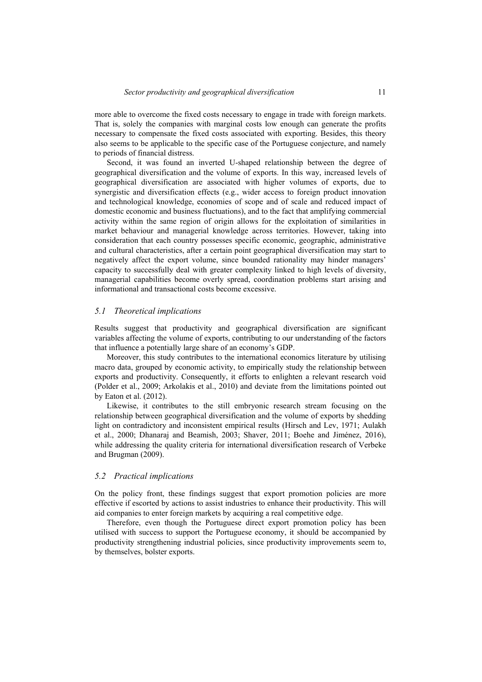more able to overcome the fixed costs necessary to engage in trade with foreign markets. That is, solely the companies with marginal costs low enough can generate the profits necessary to compensate the fixed costs associated with exporting. Besides, this theory also seems to be applicable to the specific case of the Portuguese conjecture, and namely to periods of financial distress.

Second, it was found an inverted U-shaped relationship between the degree of geographical diversification and the volume of exports. In this way, increased levels of geographical diversification are associated with higher volumes of exports, due to synergistic and diversification effects (e.g., wider access to foreign product innovation and technological knowledge, economies of scope and of scale and reduced impact of domestic economic and business fluctuations), and to the fact that amplifying commercial activity within the same region of origin allows for the exploitation of similarities in market behaviour and managerial knowledge across territories. However, taking into consideration that each country possesses specific economic, geographic, administrative and cultural characteristics, after a certain point geographical diversification may start to negatively affect the export volume, since bounded rationality may hinder managers' capacity to successfully deal with greater complexity linked to high levels of diversity, managerial capabilities become overly spread, coordination problems start arising and informational and transactional costs become excessive.

#### *5.1 Theoretical implications*

Results suggest that productivity and geographical diversification are significant variables affecting the volume of exports, contributing to our understanding of the factors that influence a potentially large share of an economy's GDP.

Moreover, this study contributes to the international economics literature by utilising macro data, grouped by economic activity, to empirically study the relationship between exports and productivity. Consequently, it efforts to enlighten a relevant research void (Polder et al., 2009; Arkolakis et al., 2010) and deviate from the limitations pointed out by Eaton et al. (2012).

Likewise, it contributes to the still embryonic research stream focusing on the relationship between geographical diversification and the volume of exports by shedding light on contradictory and inconsistent empirical results (Hirsch and Lev, 1971; Aulakh et al., 2000; Dhanaraj and Beamish, 2003; Shaver, 2011; Boehe and Jiménez, 2016), while addressing the quality criteria for international diversification research of Verbeke and Brugman (2009).

#### *5.2 Practical implications*

On the policy front, these findings suggest that export promotion policies are more effective if escorted by actions to assist industries to enhance their productivity. This will aid companies to enter foreign markets by acquiring a real competitive edge.

Therefore, even though the Portuguese direct export promotion policy has been utilised with success to support the Portuguese economy, it should be accompanied by productivity strengthening industrial policies, since productivity improvements seem to, by themselves, bolster exports.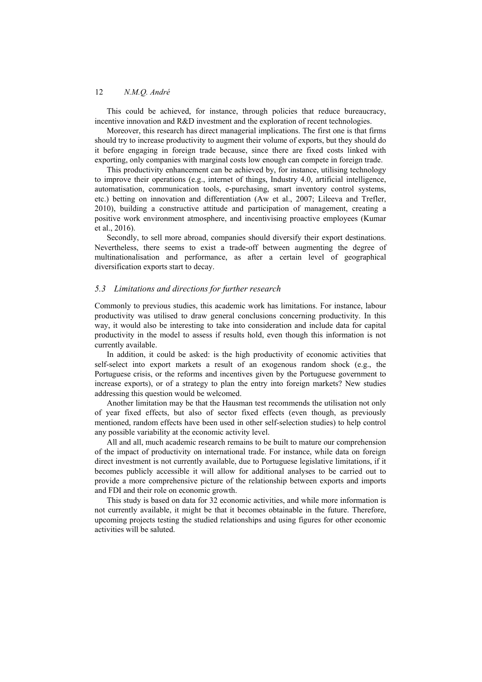This could be achieved, for instance, through policies that reduce bureaucracy, incentive innovation and R&D investment and the exploration of recent technologies.

Moreover, this research has direct managerial implications. The first one is that firms should try to increase productivity to augment their volume of exports, but they should do it before engaging in foreign trade because, since there are fixed costs linked with exporting, only companies with marginal costs low enough can compete in foreign trade.

This productivity enhancement can be achieved by, for instance, utilising technology to improve their operations (e.g., internet of things, Industry 4.0, artificial intelligence, automatisation, communication tools, e-purchasing, smart inventory control systems, etc.) betting on innovation and differentiation (Aw et al., 2007; Lileeva and Trefler, 2010), building a constructive attitude and participation of management, creating a positive work environment atmosphere, and incentivising proactive employees (Kumar et al., 2016).

Secondly, to sell more abroad, companies should diversify their export destinations. Nevertheless, there seems to exist a trade-off between augmenting the degree of multinationalisation and performance, as after a certain level of geographical diversification exports start to decay.

### *5.3 Limitations and directions for further research*

Commonly to previous studies, this academic work has limitations. For instance, labour productivity was utilised to draw general conclusions concerning productivity. In this way, it would also be interesting to take into consideration and include data for capital productivity in the model to assess if results hold, even though this information is not currently available.

In addition, it could be asked: is the high productivity of economic activities that self-select into export markets a result of an exogenous random shock (e.g., the Portuguese crisis, or the reforms and incentives given by the Portuguese government to increase exports), or of a strategy to plan the entry into foreign markets? New studies addressing this question would be welcomed.

Another limitation may be that the Hausman test recommends the utilisation not only of year fixed effects, but also of sector fixed effects (even though, as previously mentioned, random effects have been used in other self-selection studies) to help control any possible variability at the economic activity level.

All and all, much academic research remains to be built to mature our comprehension of the impact of productivity on international trade. For instance, while data on foreign direct investment is not currently available, due to Portuguese legislative limitations, if it becomes publicly accessible it will allow for additional analyses to be carried out to provide a more comprehensive picture of the relationship between exports and imports and FDI and their role on economic growth.

This study is based on data for 32 economic activities, and while more information is not currently available, it might be that it becomes obtainable in the future. Therefore, upcoming projects testing the studied relationships and using figures for other economic activities will be saluted.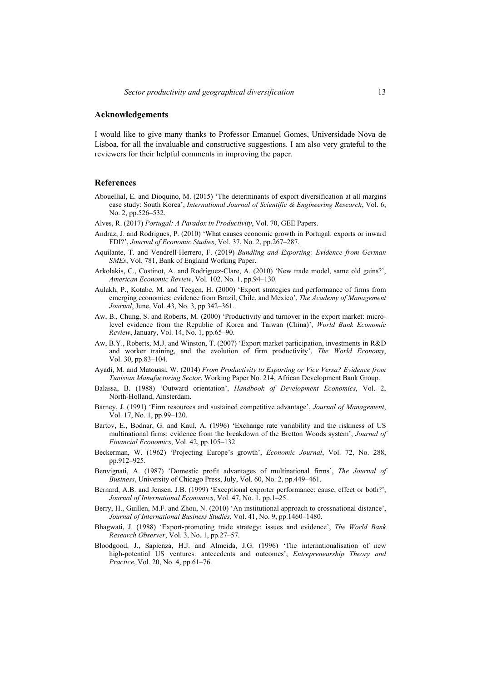## **Acknowledgements**

I would like to give many thanks to Professor Emanuel Gomes, Universidade Nova de Lisboa, for all the invaluable and constructive suggestions. I am also very grateful to the reviewers for their helpful comments in improving the paper.

### **References**

- Abouellial, E. and Dioquino, M. (2015) 'The determinants of export diversification at all margins case study: South Korea', *International Journal of Scientific & Engineering Research*, Vol. 6, No. 2, pp.526–532.
- Alves, R. (2017) *Portugal: A Paradox in Productivity*, Vol. 70, GEE Papers.
- Andraz, J. and Rodrigues, P. (2010) 'What causes economic growth in Portugal: exports or inward FDI?', *Journal of Economic Studies*, Vol. 37, No. 2, pp.267–287.
- Aquilante, T. and Vendrell-Herrero, F. (2019) *Bundling and Exporting: Evidence from German SMEs*, Vol. 781, Bank of England Working Paper.
- Arkolakis, C., Costinot, A. and Rodríguez-Clare, A. (2010) 'New trade model, same old gains?', *American Economic Review*, Vol. 102, No. 1, pp.94–130.
- Aulakh, P., Kotabe, M. and Teegen, H. (2000) 'Export strategies and performance of firms from emerging economies: evidence from Brazil, Chile, and Mexico', *The Academy of Management Journal*, June, Vol. 43, No. 3, pp.342–361.
- Aw, B., Chung, S. and Roberts, M. (2000) 'Productivity and turnover in the export market: microlevel evidence from the Republic of Korea and Taiwan (China)', *World Bank Economic Review*, January, Vol. 14, No. 1, pp.65–90.
- Aw, B.Y., Roberts, M.J. and Winston, T. (2007) 'Export market participation, investments in R&D and worker training, and the evolution of firm productivity', *The World Economy*, Vol. 30, pp.83–104.
- Ayadi, M. and Matoussi, W. (2014) *From Productivity to Exporting or Vice Versa? Evidence from Tunisian Manufacturing Sector*, Working Paper No. 214, African Development Bank Group.
- Balassa, B. (1988) 'Outward orientation', *Handbook of Development Economics*, Vol. 2, North-Holland, Amsterdam.
- Barney, J. (1991) 'Firm resources and sustained competitive advantage', *Journal of Management*, Vol. 17, No. 1, pp.99–120.
- Bartov, E., Bodnar, G. and Kaul, A. (1996) 'Exchange rate variability and the riskiness of US multinational firms: evidence from the breakdown of the Bretton Woods system', *Journal of Financial Economics*, Vol. 42, pp.105–132.
- Beckerman, W. (1962) 'Projecting Europe's growth', *Economic Journal*, Vol. 72, No. 288, pp.912–925.
- Benvignati, A. (1987) 'Domestic profit advantages of multinational firms', *The Journal of Business*, University of Chicago Press, July, Vol. 60, No. 2, pp.449–461.
- Bernard, A.B. and Jensen, J.B. (1999) 'Exceptional exporter performance: cause, effect or both?', *Journal of International Economics*, Vol. 47, No. 1, pp.1–25.
- Berry, H., Guillen, M.F. and Zhou, N. (2010) 'An institutional approach to crossnational distance', *Journal of International Business Studies*, Vol. 41, No. 9, pp.1460–1480.
- Bhagwati, J. (1988) 'Export-promoting trade strategy: issues and evidence', *The World Bank Research Observer*, Vol. 3, No. 1, pp.27–57.
- Bloodgood, J., Sapienza, H.J. and Almeida, J.G. (1996) 'The internationalisation of new high-potential US ventures: antecedents and outcomes', *Entrepreneurship Theory and Practice*, Vol. 20, No. 4, pp.61–76.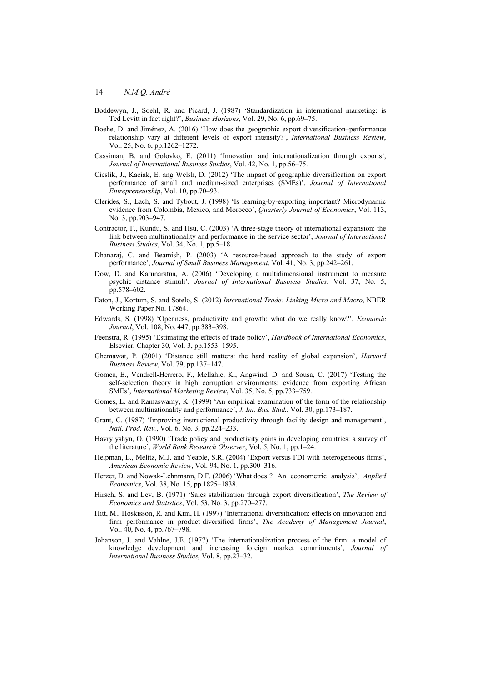- Boddewyn, J., Soehl, R. and Picard, J. (1987) 'Standardization in international marketing: is Ted Levitt in fact right?', *Business Horizons*, Vol. 29, No. 6, pp.69–75.
- Boehe, D. and Jiménez, A. (2016) 'How does the geographic export diversification–performance relationship vary at different levels of export intensity?', *International Business Review*, Vol. 25, No. 6, pp.1262–1272.
- Cassiman, B. and Golovko, E. (2011) 'Innovation and internationalization through exports', *Journal of International Business Studies*, Vol. 42, No. 1, pp.56–75.
- Cieslik, J., Kaciak, E. ang Welsh, D. (2012) 'The impact of geographic diversification on export performance of small and medium-sized enterprises (SMEs)', *Journal of International Entrepreneurship*, Vol. 10, pp.70–93.
- Clerides, S., Lach, S. and Tybout, J. (1998) 'Is learning-by-exporting important? Microdynamic evidence from Colombia, Mexico, and Morocco', *Quarterly Journal of Economics*, Vol. 113, No. 3, pp.903–947.
- Contractor, F., Kundu, S. and Hsu, C. (2003) 'A three-stage theory of international expansion: the link between multinationality and performance in the service sector', *Journal of International Business Studies*, Vol. 34, No. 1, pp.5–18.
- Dhanaraj, C. and Beamish, P. (2003) 'A resource-based approach to the study of export performance', *Journal of Small Business Management*, Vol. 41, No. 3, pp.242–261.
- Dow, D. and Karunaratna, A. (2006) 'Developing a multidimensional instrument to measure psychic distance stimuli', *Journal of International Business Studies*, Vol. 37, No. 5, pp.578–602.
- Eaton, J., Kortum, S. and Sotelo, S. (2012) *International Trade: Linking Micro and Macro*, NBER Working Paper No. 17864.
- Edwards, S. (1998) 'Openness, productivity and growth: what do we really know?', *Economic Journal*, Vol. 108, No. 447, pp.383–398.
- Feenstra, R. (1995) 'Estimating the effects of trade policy', *Handbook of International Economics*, Elsevier, Chapter 30, Vol. 3, pp.1553–1595.
- Ghemawat, P. (2001) 'Distance still matters: the hard reality of global expansion', *Harvard Business Review*, Vol. 79, pp.137–147.
- Gomes, E., Vendrell-Herrero, F., Mellahic, K., Angwind, D. and Sousa, C. (2017) 'Testing the self-selection theory in high corruption environments: evidence from exporting African SMEs', *International Marketing Review*, Vol. 35, No. 5, pp.733–759.
- Gomes, L. and Ramaswamy, K. (1999) 'An empirical examination of the form of the relationship between multinationality and performance', *J. Int. Bus. Stud.*, Vol. 30, pp.173–187.
- Grant, C. (1987) 'Improving instructional productivity through facility design and management', *Natl. Prod. Rev.*, Vol. 6, No. 3, pp.224–233.
- Havrylyshyn, O. (1990) 'Trade policy and productivity gains in developing countries: a survey of the literature', *World Bank Research Observer*, Vol. 5, No. 1, pp.1–24.
- Helpman, E., Melitz, M.J. and Yeaple, S.R. (2004) 'Export versus FDI with heterogeneous firms', *American Economic Review*, Vol. 94, No. 1, pp.300–316.
- Herzer, D. and Nowak-Lehnmann, D.F. (2006) 'What does ? An econometric analysis', *Applied Economics*, Vol. 38, No. 15, pp.1825–1838.
- Hirsch, S. and Lev, B. (1971) 'Sales stabilization through export diversification', *The Review of Economics and Statistics*, Vol. 53, No. 3, pp.270–277.
- Hitt, M., Hoskisson, R. and Kim, H. (1997) 'International diversification: effects on innovation and firm performance in product-diversified firms', *The Academy of Management Journal*, Vol. 40, No. 4, pp.767–798.
- Johanson, J. and Vahlne, J.E. (1977) 'The internationalization process of the firm: a model of knowledge development and increasing foreign market commitments', *Journal of International Business Studies*, Vol. 8, pp.23–32.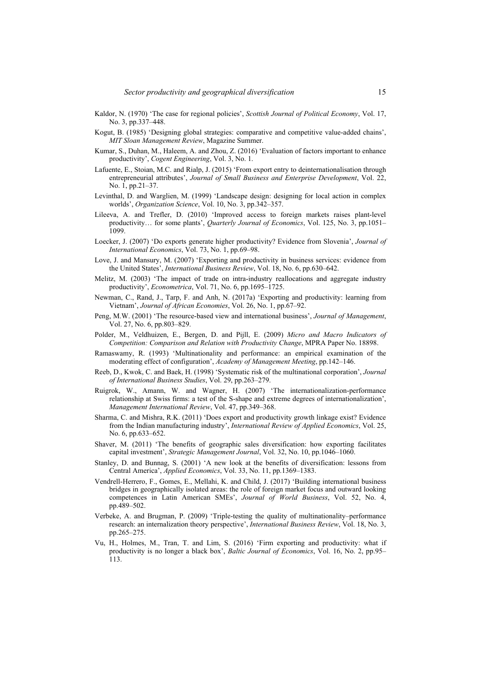- Kaldor, N. (1970) 'The case for regional policies', *Scottish Journal of Political Economy*, Vol. 17, No. 3, pp.337–448.
- Kogut, B. (1985) 'Designing global strategies: comparative and competitive value-added chains', *MIT Sloan Management Review*, Magazine Summer.
- Kumar, S., Duhan, M., Haleem, A. and Zhou, Z. (2016) 'Evaluation of factors important to enhance productivity', *Cogent Engineering*, Vol. 3, No. 1.
- Lafuente, E., Stoian, M.C. and Rialp, J. (2015) 'From export entry to deinternationalisation through entrepreneurial attributes', *Journal of Small Business and Enterprise Development*, Vol. 22, No. 1, pp.21–37.
- Levinthal, D. and Warglien, M. (1999) 'Landscape design: designing for local action in complex worlds', *Organization Science*, Vol. 10, No. 3, pp.342–357.
- Lileeva, A. and Trefler, D. (2010) 'Improved access to foreign markets raises plant-level productivity… for some plants', *Quarterly Journal of Economics*, Vol. 125, No. 3, pp.1051– 1099.
- Loecker, J. (2007) 'Do exports generate higher productivity? Evidence from Slovenia', *Journal of International Economics*, Vol. 73, No. 1, pp.69–98.
- Love, J. and Mansury, M. (2007) 'Exporting and productivity in business services: evidence from the United States', *International Business Review*, Vol. 18, No. 6, pp.630–642.
- Melitz, M. (2003) 'The impact of trade on intra-industry reallocations and aggregate industry productivity', *Econometrica*, Vol. 71, No. 6, pp.1695–1725.
- Newman, C., Rand, J., Tarp, F. and Anh, N. (2017a) 'Exporting and productivity: learning from Vietnam', *Journal of African Economies*, Vol. 26, No. 1, pp.67–92.
- Peng, M.W. (2001) 'The resource-based view and international business', *Journal of Management*, Vol. 27, No. 6, pp.803–829.
- Polder, M., Veldhuizen, E., Bergen, D. and Pijll, E. (2009) *Micro and Macro Indicators of Competition: Comparison and Relation with Productivity Change*, MPRA Paper No. 18898.
- Ramaswamy, R. (1993) 'Multinationality and performance: an empirical examination of the moderating effect of configuration', *Academy of Management Meeting*, pp.142–146.
- Reeb, D., Kwok, C. and Baek, H. (1998) 'Systematic risk of the multinational corporation', *Journal of International Business Studies*, Vol. 29, pp.263–279.
- Ruigrok, W., Amann, W. and Wagner, H. (2007) 'The internationalization-performance relationship at Swiss firms: a test of the S-shape and extreme degrees of internationalization', *Management International Review*, Vol. 47, pp.349–368.
- Sharma, C. and Mishra, R.K. (2011) 'Does export and productivity growth linkage exist? Evidence from the Indian manufacturing industry', *International Review of Applied Economics*, Vol. 25, No. 6, pp.633–652.
- Shaver, M. (2011) 'The benefits of geographic sales diversification: how exporting facilitates capital investment', *Strategic Management Journal*, Vol. 32, No. 10, pp.1046–1060.
- Stanley, D. and Bunnag, S. (2001) 'A new look at the benefits of diversification: lessons from Central America', *Applied Economics*, Vol. 33, No. 11, pp.1369–1383.
- Vendrell-Herrero, F., Gomes, E., Mellahi, K. and Child, J. (2017) 'Building international business bridges in geographically isolated areas: the role of foreign market focus and outward looking competences in Latin American SMEs', *Journal of World Business*, Vol. 52, No. 4, pp.489–502.
- Verbeke, A. and Brugman, P. (2009) 'Triple-testing the quality of multinationality–performance research: an internalization theory perspective', *International Business Review*, Vol. 18, No. 3, pp.265–275.
- Vu, H., Holmes, M., Tran, T. and Lim, S. (2016) 'Firm exporting and productivity: what if productivity is no longer a black box', *Baltic Journal of Economics*, Vol. 16, No. 2, pp.95– 113.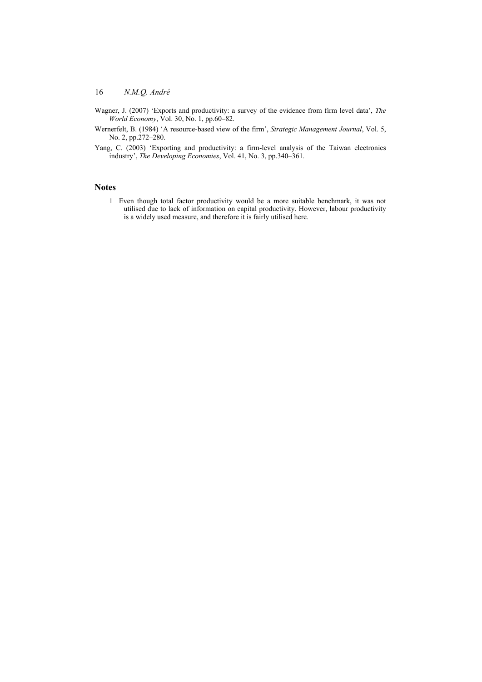- Wagner, J. (2007) 'Exports and productivity: a survey of the evidence from firm level data', *The World Economy*, Vol. 30, No. 1, pp.60–82.
- Wernerfelt, B. (1984) 'A resource-based view of the firm', *Strategic Management Journal*, Vol. 5, No. 2, pp.272–280.
- Yang, C. (2003) 'Exporting and productivity: a firm-level analysis of the Taiwan electronics industry', *The Developing Economies*, Vol. 41, No. 3, pp.340–361.

## **Notes**

1 Even though total factor productivity would be a more suitable benchmark, it was not utilised due to lack of information on capital productivity. However, labour productivity is a widely used measure, and therefore it is fairly utilised here.